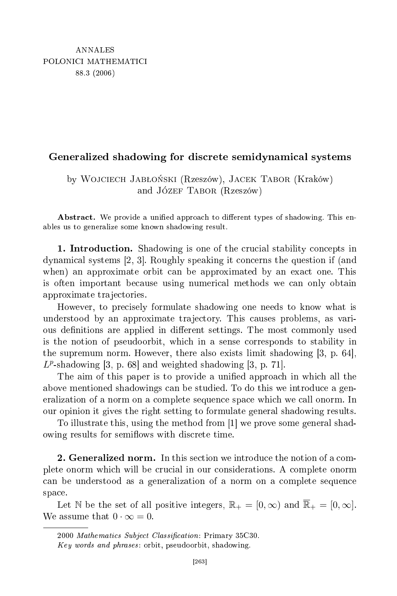## shadowing for dis
rete semidynami
al systems

by Wojciech Jabłoński (Rzeszów), Jacek Tabor (Kraków) and Józef Tabor (Rzeszów)

Abstract. We provide a unified approach to different types of shadowing. This enables us to generalize some known shadowing result.

1. Introdu
tion. Shadowing is one of the ru
ial stability on
epts in dynamical systems  $[2, 3]$ . Roughly speaking it concerns the question if (and when) an approximate orbit can be approximated by an exact one. This is often important be
ause using numeri
al methods we an only obtain approximate tra je
tories.

However, to pre
isely formulate shadowing one needs to know what is understood by an approximate tra je
tory. This auses problems, as various definitions are applied in different settings. The most commonly used is the notion of pseudoorbit, whi
h in a sense orresponds to stability in the supremum norm. However, there also exists limit shadowing  $[3, p. 64]$ ,  $L^p$ -shadowing [3, p. 68] and weighted shadowing [3, p. 71].

The aim of this paper is to provide a unified approach in which all the above mentioned shadowings can be studied. To do this we introduce a generalization of a norm on a complete sequence space which we call onorm. In our opinion it gives the right setting to formulate general shadowing results.

To illustrate this, using the method from  $[1]$  we prove some general shadowing results for semiflows with discrete time.

plete onorm whi
h will be ru
ial in our onsiderations. A omplete onorm an be understood as a generalization of a norm on a omplete sequen
e space.

Let N be the set of all positive integers,  $\mathbb{R}_+ = [0, \infty)$  and  $\overline{\mathbb{R}}_+ = [0, \infty]$ . We assume that  $0 \cdot \infty = 0$ .

<sup>2000</sup> Mathemati
s Subje
t Classi
ation: Primary 35C30.

Key words and phrases : orbit, pseudoorbit, shadowing.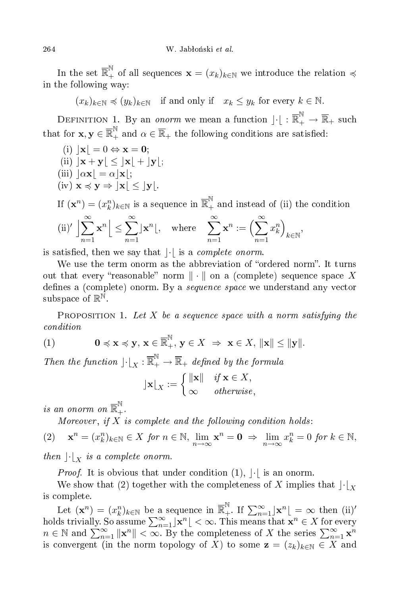In the set  $\overline{\mathbb{R}}_+^{\mathbb{N}}$  of all sequences  $\mathbf{x}=(x_k)_{k\in\mathbb{N}}$  we introduce the relation  $\preccurlyeq$ in the following way:

 $(x_k)_{k\in\mathbb{N}} \preccurlyeq (y_k)_{k\in\mathbb{N}}$  if and only if  $x_k \leq y_k$  for every  $k \in \mathbb{N}$ .

DEFINITION 1. By an *onorm* we mean a function  $\lfloor \cdot \rfloor : \overline{\mathbb{R}}_{+}^{ \mathbb{N} } \to \overline{\mathbb{R}}_{+}$  such that for  $\mathbf{x},\mathbf{y}\in\overline{\mathbb{R}}_+^{\mathbb{N}}$  and  $\alpha\in\overline{\mathbb{R}}_+$  the following conditions are satisfied:

(i) 
$$
|\mathbf{x}| = 0 \Leftrightarrow \mathbf{x} = \mathbf{0};
$$

- (ii)  $|\mathbf{x} + \mathbf{y}| \leq |\mathbf{x}| + |\mathbf{y}|;$
- (iii)  $|\alpha \mathbf{x}| = \alpha |\mathbf{x}|$ ;
- $(iv)$   $\mathbf{x} \preccurlyeq \mathbf{y} \Rightarrow |\mathbf{x}| \leq |\mathbf{y}|.$

If 
$$
(\mathbf{x}^n) = (x_k^n)_{k \in \mathbb{N}}
$$
 is a sequence in  $\overline{\mathbb{R}}_+^{\mathbb{N}}$  and instead of (ii) the condition  
\n(ii)'  $\left| \sum_{n=1}^{\infty} \mathbf{x}^n \right| \le \sum_{n=1}^{\infty} |\mathbf{x}^n|$ , where  $\sum_{n=1}^{\infty} \mathbf{x}^n := \left( \sum_{n=1}^{\infty} x_k^n \right)_{k \in \mathbb{N}}$ ,

is satisfied, then we say that  $|\cdot|$  is a *complete onorm*.

We use the term onorm as the abbreviation of "ordered norm". It turns out that every "reasonable" norm  $\|\cdot\|$  on a (complete) sequence space X defines a (complete) onorm. By a *sequence space* we understand any vector subspace of  $\mathbb{R}^{\mathbb{N}}$ .

PROPOSITION 1. Let X be a sequence space with a norm satisfying the ondition

(1) 
$$
\mathbf{0} \preccurlyeq \mathbf{x} \preccurlyeq \mathbf{y}, \mathbf{x} \in \overline{\mathbb{R}}_+^{\mathbb{N}}, \mathbf{y} \in X \Rightarrow \mathbf{x} \in X, \|\mathbf{x}\| \le \|\mathbf{y}\|.
$$

Then the function  $\lfloor \cdot \rfloor_X : \overline{\mathbb{R}}_+^{\mathbb{N}} \to \overline{\mathbb{R}}_+$  defined by the formula

$$
\mathbf{y} \mathbf{x} \mathbf{x} := \begin{cases} \|\mathbf{x}\| & \textit{if } \mathbf{x} \in X, \\ \infty & \textit{otherwise}, \end{cases}
$$

is an onorm on  $\overline{\mathbb{R}}_{+}^{\mathbb{N}}$ +.

Moreover, if  $X$  is complete and the following condition holds:

$$
(2) \quad \mathbf{x}^n = (x_k^n)_{k \in \mathbb{N}} \in X \text{ for } n \in \mathbb{N}, \lim_{n \to \infty} \mathbf{x}^n = \mathbf{0} \implies \lim_{n \to \infty} x_k^n = 0 \text{ for } k \in \mathbb{N},
$$

then  $\lvert \cdot \rvert_X$  is a complete onorm.

*Proof.* It is obvious that under condition  $(1)$ ,  $|\cdot|$  is an onorm.

We show that (2) together with the completeness of X implies that  $\lvert \cdot \rvert_X$ is omplete.

Let  $(\mathbf{x}^n) = (x_k^n)_{k \in \mathbb{N}}$  be a sequence in  $\overline{\mathbb{R}}_+^{\mathbb{N}}$ . If  $\sum_{n=1}^{\infty} |\mathbf{x}^n| = \infty$  then (ii)' holds trivially. So assume  $\sum_{n=1}^{\infty} |{\bf x}^n| < \infty$ . This means that  ${\bf x}^n \in X$  for every  $n \in \mathbb{N}$  and  $\sum_{n=1}^{\infty} \|\mathbf{x}^n\| < \infty$ . By the completeness of X the series  $\sum_{n=1}^{\infty} \mathbf{x}^n$ is convergent (in the norm topology of X) to some  $z = (z_k)_{k \in \mathbb{N}} \subset \overline{X}$  and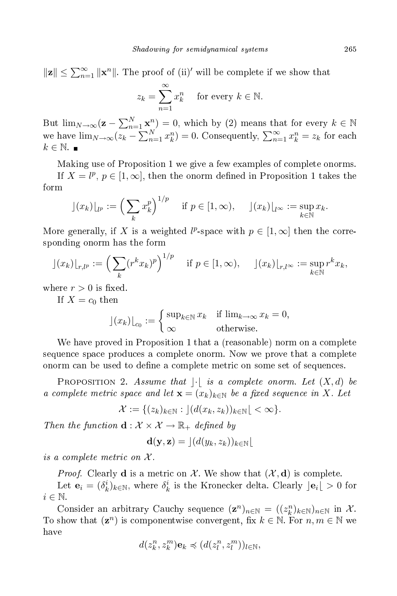$$
\|\mathbf{z}\| \le \sum_{n=1}^{\infty} \|\mathbf{x}^n\|
$$
. The proof of (ii)' will be complete if we show that

$$
z_k = \sum_{n=1}^{\infty} x_k^n \quad \text{for every } k \in \mathbb{N}.
$$

But  $\lim_{N\to\infty} (\mathbf{z}-\sum_{n=1}^N \mathbf{x}^n) = 0$ , which by (2) means that for every  $k \in \mathbb{N}$ we have  $\lim_{N\to\infty}(z_k-\sum_{n=1}^N x_k^n)=0$ . Consequently,  $\sum_{n=1}^\infty x_k^n=z_k$  for each  $k \in \mathbb{N}$ .

Making use of Proposition 1 we give a few examples of omplete onorms.

If  $X = l^p$ ,  $p \in [1, \infty]$ , then the onorm defined in Proposition 1 takes the form

$$
\rfloor(x_k)\rfloor_{l^p} := \left(\sum_k x_k^p\right)^{1/p} \quad \text{if } p \in [1, \infty), \quad \rfloor(x_k)\rfloor_{l^{\infty}} := \sup_{k \in \mathbb{N}} x_k.
$$

More generally, if X is a weighted  $l^p$ -space with  $p \in [1,\infty]$  then the corresponding onorm has the form

$$
\rfloor(x_k)\rfloor_{r,l^p} := \left(\sum_k (r^k x_k)^p\right)^{1/p} \quad \text{if } p \in [1,\infty), \quad \rfloor(x_k)\rfloor_{r,l^\infty} := \sup_{k \in \mathbb{N}} r^k x_k,
$$

where  $r > 0$  is fixed.

If  $X = c_0$  then

$$
\left| (x_k) \right|_{c_0} := \begin{cases} \sup_{k \in \mathbb{N}} x_k & \text{if } \lim_{k \to \infty} x_k = 0, \\ \infty & \text{otherwise.} \end{cases}
$$

We have proved in Proposition 1 that a (reasonable) norm on a complete sequen
e spa
e produ
es a omplete onorm. Now we prove that a omplete onorm can be used to define a complete metric on some set of sequences.

PROPOSITION 2. Assume that  $|\cdot|$  is a complete onorm. Let  $(X,d)$  be a complete metric space and let  $\mathbf{x} = (x_k)_{k \in \mathbb{N}}$  be a fixed sequence in X. Let

$$
\mathcal{X} := \{ (z_k)_{k \in \mathbb{N}} : \, \left| (d(x_k, z_k))_{k \in \mathbb{N}} \right| < \infty \}.
$$

Then the function  $\mathbf{d}: \mathcal{X} \times \mathcal{X} \rightarrow \mathbb{R}_+$  defined by

$$
\mathbf{d}(\mathbf{y},\mathbf{z}) = \lfloor (d(y_k,z_k))_{k \in \mathbb{N}} \rfloor
$$

is a complete metric on  $\mathcal{X}.$ 

*Proof.* Clearly **d** is a metric on X. We show that  $(X, d)$  is complete.

Let  $\mathbf{e}_i = (\delta_k^i)_{k \in \mathbb{N}}$ , where  $\delta_k^i$  is the Kronecker delta. Clearly  $\left|\mathbf{e}_i\right| > 0$  for  $i \in \mathbb{N}$ .

Consider an arbitrary Cauchy sequence  $(\mathbf{z}^n)_{n \in \mathbb{N}} = ((z_k^n)_{k \in \mathbb{N}})_{n \in \mathbb{N}}$  in X. To show that  $(\mathbf{z}^n)$  is componentwise convergent, fix  $k \in \mathbb{N}$ . For  $n, m \in \mathbb{N}$  we have

$$
d(z_k^n,z_k^m)\mathbf{e}_k\preccurlyeq (d(z_l^n,z_l^m))_{l\in\mathbb{N}},
$$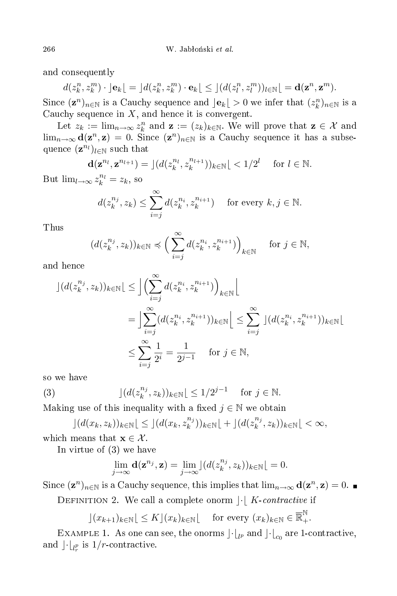and onsequently

$$
d(z_k^n, z_k^m) \cdot |\mathbf{e}_k| = |d(z_k^n, z_k^m) \cdot \mathbf{e}_k| \le |(d(z_l^n, z_l^m))_{l \in \mathbb{N}}| = \mathbf{d}(\mathbf{z}^n, \mathbf{z}^m).
$$

Since  $(\mathbf{z}^n)_{n\in\mathbb{N}}$  is a Cauchy sequence and  $\vert \mathbf{e}_k \vert > 0$  we infer that  $(z_k^n)_{n\in\mathbb{N}}$  is a Cauchy sequence in  $X$ , and hence it is convergent.

Let  $z_k := \lim_{n \to \infty} z_k^n$  and  $\mathbf{z} := (z_k)_{k \in \mathbb{N}}$ . We will prove that  $\mathbf{z} \in \mathcal{X}$  and  $\lim_{n\to\infty} d(\mathbf{z}^n, \mathbf{z}) = 0$ . Since  $(\mathbf{z}^n)_{n\in\mathbb{N}}$  is a Cauchy sequence it has a subsequence  $(\mathbf{z}^{n_l})_{l \in \mathbb{N}}$  such that

$$
\mathbf{d}(\mathbf{z}^{n_l}, \mathbf{z}^{n_{l+1}}) = \lfloor (d(z_k^{n_l}, z_k^{n_{l+1}}))_{k \in \mathbb{N}} \lfloor < 1/2^l \quad \text{for } l \in \mathbb{N}.
$$

But  $\lim_{l\to\infty} z_k^{n_l} = z_k$ , so

$$
d(z_k^{n_j}, z_k) \le \sum_{i=j}^{\infty} d(z_k^{n_i}, z_k^{n_{i+1}})
$$
 for every  $k, j \in \mathbb{N}$ .

Thus

$$
(d(z_k^{n_j}, z_k))_{k \in \mathbb{N}} \preccurlyeq \Big(\sum_{i=j}^{\infty} d(z_k^{n_i}, z_k^{n_{i+1}})\Big)_{k \in \mathbb{N}} \quad \text{ for } j \in \mathbb{N},
$$

and hence

$$
\begin{split} \left| \left( d(z_k^{n_j}, z_k) \right)_{k \in \mathbb{N}} \right| &\leq \left| \left( \sum_{i=j}^{\infty} d(z_k^{n_i}, z_k^{n_{i+1}}) \right)_{k \in \mathbb{N}} \right| \\ &= \left| \sum_{i=j}^{\infty} (d(z_k^{n_i}, z_k^{n_{i+1}}))_{k \in \mathbb{N}} \right| \leq \sum_{i=j}^{\infty} \left| (d(z_k^{n_i}, z_k^{n_{i+1}}))_{k \in \mathbb{N}} \right| \\ &\leq \sum_{i=j}^{\infty} \frac{1}{2^i} = \frac{1}{2^{j-1}} \quad \text{for } j \in \mathbb{N}, \end{split}
$$

so we have

(3) 
$$
\left| \left( d(z_k^{n_j}, z_k) \right)_{k \in \mathbb{N}} \right| \leq 1/2^{j-1} \quad \text{for } j \in \mathbb{N}.
$$

Making use of this inequality with a fixed  $j \in \mathbb{N}$  we obtain

$$
\lfloor (d(x_k, z_k))_{k \in \mathbb{N}} \lfloor \le \lfloor (d(x_k, z_k^{n_j}))_{k \in \mathbb{N}} \lfloor + \rfloor (d(z_k^{n_j}, z_k))_{k \in \mathbb{N}} \lfloor < \infty,
$$

which means that  $\mathbf{x} \in \mathcal{X}$ .

In virtue of (3) we have

$$
\lim_{j\to\infty} \mathbf{d}(\mathbf{z}^{n_j}, \mathbf{z}) = \lim_{j\to\infty} \left[ (d(z_k^{n_j}, z_k))_{k\in\mathbb{N}} \right] = 0.
$$

Since  $(\mathbf{z}^n)_{n\in\mathbb{N}}$  is a Cauchy sequence, this implies that  $\lim_{n\to\infty} \mathbf{d}(\mathbf{z}^n, \mathbf{z}) = 0$ .

DEFINITION 2. We call a complete onorm  $\lvert \cdot \rvert$  K-contractive if

 $\lfloor (x_{k+1})_{k \in \mathbb{N}} \rfloor \leq K \rfloor (x_k)_{k \in \mathbb{N}} \lfloor$  for every  $(x_k)_{k \in \mathbb{N}} \in \overline{\mathbb{R}}_+^{\mathbb{N}}$ .

EXAMPLE 1. As one can see, the onorms  $\left\vert \cdot\right\vert _{lp}$  and  $\left\vert \cdot\right\vert _{c_{0}}$  are 1-contractive, and  $\int \cdot l_{l_r^p}$  is  $1/r$ -contractive.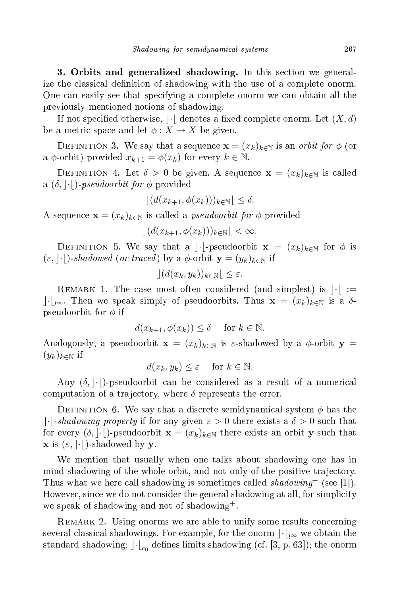3. Orbits and generalized shadowing. In this se
tion we generalize the classical definition of shadowing with the use of a complete onorm. One can easily see that specifying a complete onorm we can obtain all the previously mentioned notions of shadowing.

If not specified otherwise,  $|\cdot|$  denotes a fixed complete onorm. Let  $(X, d)$ be a metric space and let  $\phi: X \to X$  be given.

DEFINITION 3. We say that a sequence  $\mathbf{x} = (x_k)_{k\in\mathbb{N}}$  is an  $\it orbit$  for  $\phi$  (or a  $\phi$ -orbit) provided  $x_{k+1} = \phi(x_k)$  for every  $k \in \mathbb{N}$ .

DEFINITION 4. Let  $\delta > 0$  be given. A sequence  $\mathbf{x} = (x_k)_{k \in \mathbb{N}}$  is called a  $(\delta, \vert \cdot \vert)$ -pseudoorbit for  $\phi$  provided

$$
\left| \left( d(x_{k+1}, \phi(x_k)) \right)_{k \in \mathbb{N}} \right| \le \delta.
$$

A sequence  $\mathbf{x} = (x_k)_{k \in \mathbb{N}}$  is called a *pseudoorbit for*  $\phi$  provided

 $|(d(x_{k+1}, \phi(x_k)))_{k\in\mathbb{N}}| < \infty.$ 

DEFINITION 5. We say that a | $\cdot$ |-pseudoorbit  $\mathbf{x} = (x_k)_{k \in \mathbb{N}}$  for  $\phi$  is  $(\varepsilon, |\cdot|)$ -shadowed (or traced) by a  $\phi$ -orbit  $\mathbf{y} = (y_k)_{k \in \mathbb{N}}$  if

$$
\left| \left( d(x_k, y_k) \right)_{k \in \mathbb{N}} \right| \le \varepsilon.
$$

REMARK 1. The case most often considered (and simplest) is  $|\cdot| :=$  $|\cdot|_{l^{\infty}}$ . Then we speak simply of pseudoorbits. Thus  $\mathbf{x} = (x_k)_{k \in \mathbb{N}}$  is a δpseudoorbit for  $\phi$  if

$$
d(x_{k+1}, \phi(x_k)) \le \delta \quad \text{ for } k \in \mathbb{N}.
$$

Analogously, a pseudoorbit  $\mathbf{x} = (x_k)_{k \in \mathbb{N}}$  is  $\varepsilon$ -shadowed by a  $\phi$ -orbit  $\mathbf{y} =$  $(y_k)_{k\in\mathbb{N}}$  if

$$
d(x_k, y_k) \le \varepsilon \quad \text{ for } k \in \mathbb{N}.
$$

Any  $(\delta, |\cdot|)$ -pseudoorbit can be considered as a result of a numerical computation of a trajectory, where  $\delta$  represents the error.

DEFINITION 6. We say that a discrete semidynamical system  $\phi$  has the |- $\vert \cdot \vert$ -shadowing property if for any given  $\varepsilon > 0$  there exists a  $\delta > 0$  such that for every  $(\delta, \vert \cdot \vert)$ -pseudoorbit  $\mathbf{x} = (x_k)_{k \in \mathbb{N}}$  there exists an orbit y such that **x** is  $(\varepsilon, \vert \cdot \vert)$ -shadowed by **y**.

We mention that usually when one talks about shadowing one has in mind shadowing of the whole orbit, and not only of the positive trajectory. Thus what we here call shadowing is sometimes called shadowing<sup>+</sup> (see [1]). However, since we do not consider the general shadowing at all, for simplicity we speak of shadowing and not of shadowing<sup>+</sup>.

REMARK 2. Using onorms we are able to unify some results concerning several classical shadowings. For example, for the onorm  $\lVert \cdot \rVert_{l^{\infty}}$  we obtain the standard shadowing;  $\left\vert \cdot\right\vert _{c_{0}}$  defines limits shadowing (cf. [3, p. 63]); the onorm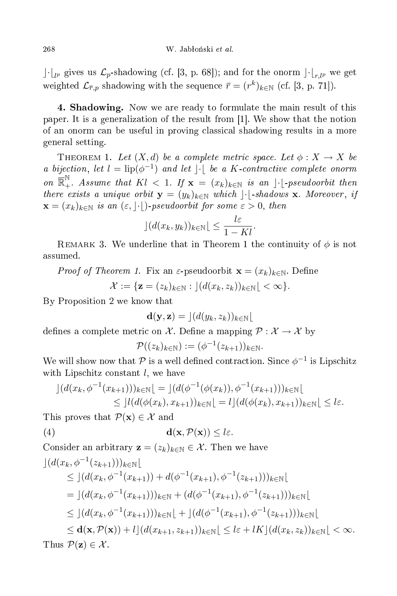$\lVert \cdot \rVert_{l^p}$  gives us  $\mathcal{L}_p$ -shadowing (cf. [3, p. 68]); and for the onorm  $\lVert \cdot \rVert_{r,l^p}$  we get weighted  $\mathcal{L}_{\overline{r},p}$  shadowing with the sequence  $\overline{r} = (r^k)_{k \in \mathbb{N}}$  (cf. [3, p. 71]).

 $\mathbf{S}$ paper. It is a generalization of the result from  $[1]$ . We show that the notion of an onorm an be useful in proving lassi
al shadowing results in a more general setting.

THEOREM 1. Let  $(X, d)$  be a complete metric space. Let  $\phi : X \to X$  be a bijection, let  $l = \text{lip}(\phi^{-1})$  and let  $|\cdot|$  be a K-contractive complete onorm on  $\mathbb{R}^{\mathbb{N}}_+$ . Assume that  $Kl < 1$ . If  $\mathbf{x} = (x_k)_{k \in \mathbb{N}}$  is an  $\vert \cdot \vert$ -pseudoorbit then there exists a unique orbit  $\mathbf{y} = (y_k)_{k \in \mathbb{N}}$  which  $|\cdot|$ -shadows x. Moreover, if  $\mathbf{x} = (x_k)_{k \in \mathbb{N}}$  is an  $(\varepsilon, |\cdot|)$ -pseudoorbit for some  $\varepsilon > 0$ , then

$$
\left| \left( d(x_k, y_k) \right)_{k \in \mathbb{N}} \right| \leq \frac{l\varepsilon}{1 - Kl}.
$$

REMARK 3. We underline that in Theorem 1 the continuity of  $\phi$  is not assumed.

*Proof of Theorem 1.* Fix an  $\varepsilon$ -pseudoorbit  $\mathbf{x} = (x_k)_{k \in \mathbb{N}}$ . Define

$$
\mathcal{X} := \{ \mathbf{z} = (z_k)_{k \in \mathbb{N}} : \, \left| \left( d(x_k, z_k) \right)_{k \in \mathbb{N}} \right| < \infty \}.
$$

By Proposition 2 we know that

$$
\mathbf{d}(\mathbf{y},\mathbf{z}) = \lfloor (d(y_k,z_k))_{k \in \mathbb{N}} \rfloor
$$

defines a complete metric on X. Define a mapping  $\mathcal{P}: \mathcal{X} \to \mathcal{X}$  by

$$
\mathcal{P}((z_k)_{k\in\mathbb{N}}):=(\phi^{-1}(z_{k+1}))_{k\in\mathbb{N}}.
$$

We will show now that  $\mathcal P$  is a well defined contraction. Since  $\phi^{-1}$  is Lipschitz with Lipschitz constant  $l$ , we have

$$
\begin{aligned} \n\left| \left( d(x_k, \phi^{-1}(x_{k+1})) \right)_{k \in \mathbb{N}} \right| &= \left| \left( d(\phi^{-1}(\phi(x_k)), \phi^{-1}(x_{k+1})) \right)_{k \in \mathbb{N}} \right| \\ \n&\leq \left| l(d(\phi(x_k), x_{k+1}))_{k \in \mathbb{N}} \right| &= l \left| \left( d(\phi(x_k), x_{k+1}) \right)_{k \in \mathbb{N}} \right| \leq l \varepsilon. \n\end{aligned}
$$

This proves that  $\mathcal{P}(\mathbf{x}) \in \mathcal{X}$  and

$$
d(\mathbf{x}, \mathcal{P}(\mathbf{x})) \leq l\varepsilon.
$$

Consider an arbitrary  $\mathbf{z} = (z_k)_{k \in \mathbb{N}} \in \mathcal{X}$ . Then we have

$$
\begin{split}\n\left| \left( d(x_k, \phi^{-1}(z_{k+1})) \right)_{k \in \mathbb{N}} \right| \\
&\leq \left| \left( d(x_k, \phi^{-1}(x_{k+1})) + d(\phi^{-1}(x_{k+1}), \phi^{-1}(z_{k+1})) \right)_{k \in \mathbb{N}} \right| \\
&= \left| \left( d(x_k, \phi^{-1}(x_{k+1})) \right)_{k \in \mathbb{N}} + \left( d(\phi^{-1}(x_{k+1}), \phi^{-1}(z_{k+1})) \right)_{k \in \mathbb{N}} \right| \\
&\leq \left| \left( d(x_k, \phi^{-1}(x_{k+1})) \right)_{k \in \mathbb{N}} \right| + \left| \left( d(\phi^{-1}(x_{k+1}), \phi^{-1}(z_{k+1})) \right)_{k \in \mathbb{N}} \right| \\
&\leq \mathbf{d}(\mathbf{x}, \mathcal{P}(\mathbf{x})) + l \left| \left( d(x_{k+1}, z_{k+1}) \right)_{k \in \mathbb{N}} \right| \leq l \varepsilon + lK \left| \left( d(x_k, z_k) \right)_{k \in \mathbb{N}} \right| < \infty.\n\end{split}
$$
\nThus  $\mathcal{P}(\mathbf{z}) \in \mathcal{X}$ .